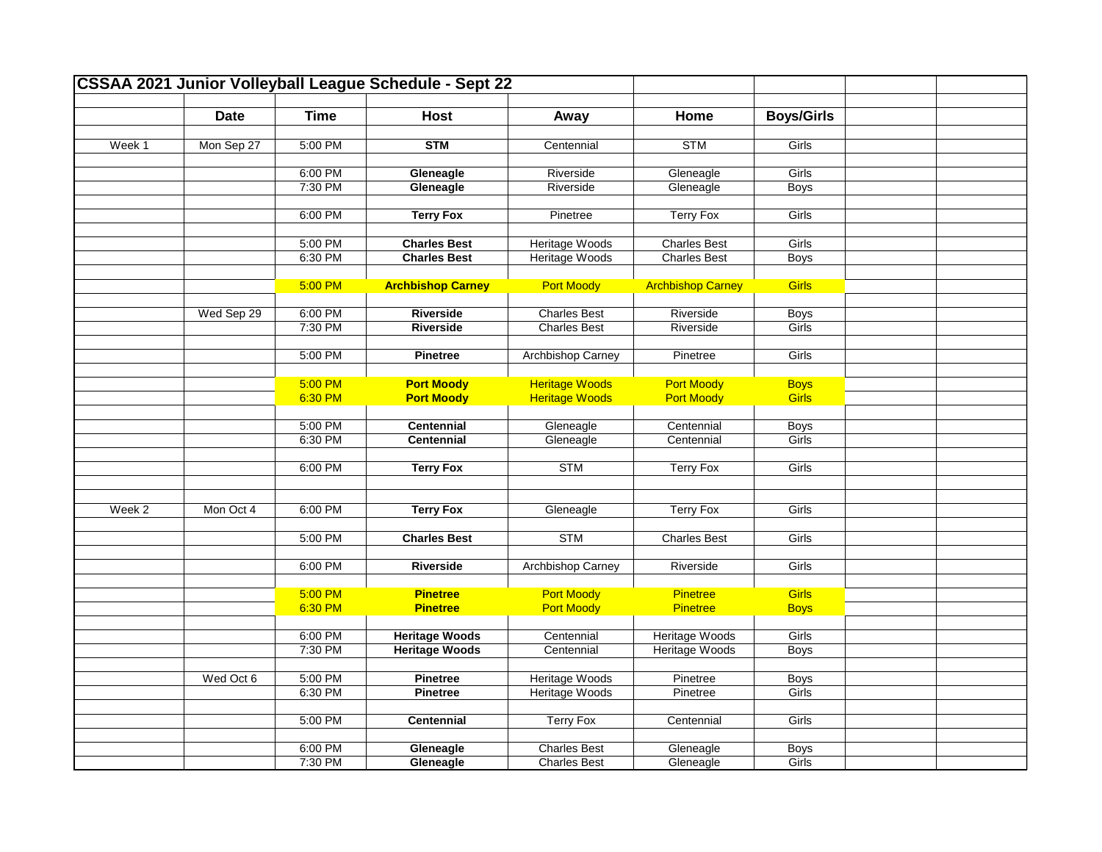|        |             |             | <b>CSSAA 2021 Junior Volleyball League Schedule - Sept 22</b> |                          |                          |                   |  |
|--------|-------------|-------------|---------------------------------------------------------------|--------------------------|--------------------------|-------------------|--|
|        | <b>Date</b> | <b>Time</b> | <b>Host</b>                                                   |                          | Home                     | <b>Boys/Girls</b> |  |
|        |             |             |                                                               | Away                     |                          |                   |  |
| Week 1 | Mon Sep 27  | 5:00 PM     | <b>STM</b>                                                    | Centennial               | <b>STM</b>               | Girls             |  |
|        |             |             |                                                               |                          |                          |                   |  |
|        |             | 6:00 PM     | Gleneagle                                                     | Riverside                | Gleneagle                | Girls             |  |
|        |             | 7:30 PM     | Gleneagle                                                     | Riverside                | Gleneagle                | Boys              |  |
|        |             |             |                                                               |                          |                          |                   |  |
|        |             | 6:00 PM     | <b>Terry Fox</b>                                              | Pinetree                 | <b>Terry Fox</b>         | Girls             |  |
|        |             |             |                                                               |                          |                          |                   |  |
|        |             | 5:00 PM     | <b>Charles Best</b>                                           | Heritage Woods           | <b>Charles Best</b>      | Girls             |  |
|        |             | 6:30 PM     | <b>Charles Best</b>                                           | Heritage Woods           | <b>Charles Best</b>      | <b>Boys</b>       |  |
|        |             | 5:00 PM     | <b>Archbishop Carney</b>                                      | <b>Port Moody</b>        | <b>Archbishop Carney</b> | <b>Girls</b>      |  |
|        |             |             |                                                               |                          |                          |                   |  |
|        | Wed Sep 29  | 6:00 PM     | <b>Riverside</b>                                              | <b>Charles Best</b>      | Riverside                | <b>Boys</b>       |  |
|        |             | 7:30 PM     | Riverside                                                     | <b>Charles Best</b>      | Riverside                | Girls             |  |
|        |             |             |                                                               |                          |                          |                   |  |
|        |             | 5:00 PM     | Pinetree                                                      | Archbishop Carney        | Pinetree                 | Girls             |  |
|        |             |             |                                                               |                          |                          |                   |  |
|        |             | 5:00 PM     | <b>Port Moody</b>                                             | <b>Heritage Woods</b>    | <b>Port Moody</b>        | <b>Boys</b>       |  |
|        |             | 6:30 PM     | <b>Port Moody</b>                                             | <b>Heritage Woods</b>    | <b>Port Moody</b>        | <b>Girls</b>      |  |
|        |             |             |                                                               |                          |                          |                   |  |
|        |             | 5:00 PM     | <b>Centennial</b>                                             | Gleneagle                | Centennial               | <b>Boys</b>       |  |
|        |             | 6:30 PM     | <b>Centennial</b>                                             | Gleneagle                | Centennial               | Girls             |  |
|        |             | 6:00 PM     | <b>Terry Fox</b>                                              | <b>STM</b>               | <b>Terry Fox</b>         | Girls             |  |
|        |             |             |                                                               |                          |                          |                   |  |
|        |             |             |                                                               |                          |                          |                   |  |
| Week 2 | Mon Oct 4   | 6:00 PM     | <b>Terry Fox</b>                                              | Gleneagle                | <b>Terry Fox</b>         | Girls             |  |
|        |             |             |                                                               |                          |                          |                   |  |
|        |             | 5:00 PM     | <b>Charles Best</b>                                           | <b>STM</b>               | <b>Charles Best</b>      | Girls             |  |
|        |             |             |                                                               |                          |                          |                   |  |
|        |             | 6:00 PM     | Riverside                                                     | <b>Archbishop Carney</b> | Riverside                | Girls             |  |
|        |             |             |                                                               |                          |                          |                   |  |
|        |             | 5:00 PM     | <b>Pinetree</b>                                               | <b>Port Moody</b>        | Pinetree                 | <b>Girls</b>      |  |
|        |             | 6:30 PM     | <b>Pinetree</b>                                               | <b>Port Moody</b>        | Pinetree                 | <b>Boys</b>       |  |
|        |             | 6:00 PM     | <b>Heritage Woods</b>                                         | Centennial               | <b>Heritage Woods</b>    | Girls             |  |
|        |             | 7:30 PM     | <b>Heritage Woods</b>                                         | Centennial               | <b>Heritage Woods</b>    | <b>Boys</b>       |  |
|        |             |             |                                                               |                          |                          |                   |  |
|        | Wed Oct 6   | 5:00 PM     | Pinetree                                                      | Heritage Woods           | Pinetree                 | <b>Boys</b>       |  |
|        |             | 6:30 PM     | <b>Pinetree</b>                                               | <b>Heritage Woods</b>    | Pinetree                 | Girls             |  |
|        |             |             |                                                               |                          |                          |                   |  |
|        |             | 5:00 PM     | Centennial                                                    | <b>Terry Fox</b>         | Centennial               | Girls             |  |
|        |             |             |                                                               |                          |                          |                   |  |
|        |             | 6:00 PM     | Gleneagle                                                     | <b>Charles Best</b>      | Gleneagle                | <b>Boys</b>       |  |
|        |             | 7:30 PM     | Gleneagle                                                     | <b>Charles Best</b>      | Gleneagle                | Girls             |  |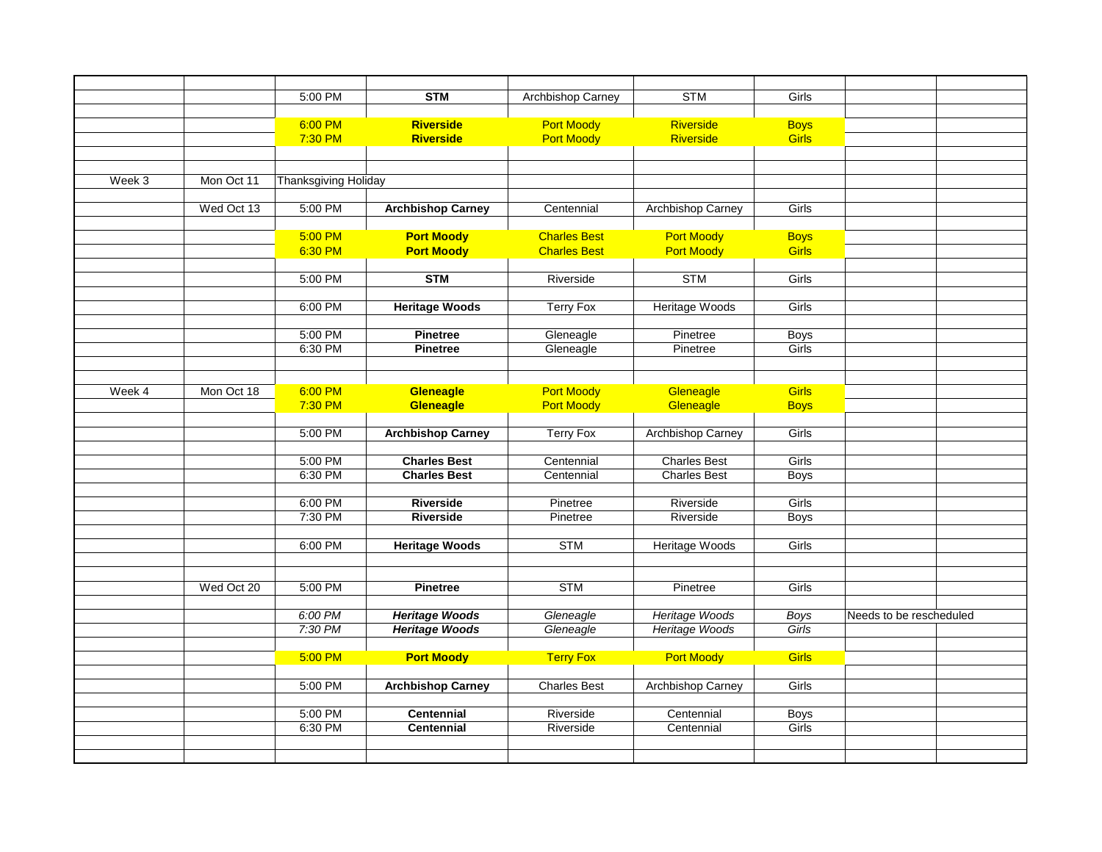|        |            | 5:00 PM                     | <b>STM</b>               | Archbishop Carney   | <b>STM</b>               | Girls        |                         |  |
|--------|------------|-----------------------------|--------------------------|---------------------|--------------------------|--------------|-------------------------|--|
|        |            |                             |                          |                     |                          |              |                         |  |
|        |            | 6:00 PM                     | <b>Riverside</b>         | <b>Port Moody</b>   | Riverside                | <b>Boys</b>  |                         |  |
|        |            | 7:30 PM                     | Riverside                | <b>Port Moody</b>   | Riverside                | <b>Girls</b> |                         |  |
|        |            |                             |                          |                     |                          |              |                         |  |
|        |            |                             |                          |                     |                          |              |                         |  |
| Week 3 | Mon Oct 11 | <b>Thanksgiving Holiday</b> |                          |                     |                          |              |                         |  |
|        |            |                             |                          |                     |                          |              |                         |  |
|        | Wed Oct 13 | 5:00 PM                     | <b>Archbishop Carney</b> | Centennial          | Archbishop Carney        | Girls        |                         |  |
|        |            | 5:00 PM                     | <b>Port Moody</b>        | <b>Charles Best</b> | <b>Port Moody</b>        | <b>Boys</b>  |                         |  |
|        |            | 6:30 PM                     | <b>Port Moody</b>        | <b>Charles Best</b> | <b>Port Moody</b>        | Girls        |                         |  |
|        |            |                             |                          |                     |                          |              |                         |  |
|        |            | 5:00 PM                     | <b>STM</b>               | Riverside           | <b>STM</b>               | Girls        |                         |  |
|        |            |                             |                          |                     |                          |              |                         |  |
|        |            | 6:00 PM                     | <b>Heritage Woods</b>    | <b>Terry Fox</b>    | <b>Heritage Woods</b>    | Girls        |                         |  |
|        |            |                             |                          |                     |                          |              |                         |  |
|        |            | 5:00 PM                     | <b>Pinetree</b>          | Gleneagle           | Pinetree                 | <b>Boys</b>  |                         |  |
|        |            | 6:30 PM                     | <b>Pinetree</b>          | Gleneagle           | Pinetree                 | Girls        |                         |  |
|        |            |                             |                          |                     |                          |              |                         |  |
| Week 4 | Mon Oct 18 | 6:00 PM                     | Gleneagle                | <b>Port Moody</b>   | Gleneagle                | <b>Girls</b> |                         |  |
|        |            | 7:30 PM                     | <b>Gleneagle</b>         | <b>Port Moody</b>   | Gleneagle                | <b>Boys</b>  |                         |  |
|        |            |                             |                          |                     |                          |              |                         |  |
|        |            | 5:00 PM                     | <b>Archbishop Carney</b> | <b>Terry Fox</b>    | <b>Archbishop Carney</b> | Girls        |                         |  |
|        |            |                             |                          |                     |                          |              |                         |  |
|        |            | 5:00 PM                     | <b>Charles Best</b>      | Centennial          | <b>Charles Best</b>      | Girls        |                         |  |
|        |            | 6:30 PM                     | <b>Charles Best</b>      | Centennial          | <b>Charles Best</b>      | <b>Boys</b>  |                         |  |
|        |            |                             |                          |                     |                          |              |                         |  |
|        |            | 6:00 PM                     | Riverside                | Pinetree            | Riverside                | Girls        |                         |  |
|        |            | 7:30 PM                     | Riverside                | Pinetree            | Riverside                | <b>Boys</b>  |                         |  |
|        |            | 6:00 PM                     | <b>Heritage Woods</b>    | <b>STM</b>          | <b>Heritage Woods</b>    | Girls        |                         |  |
|        |            |                             |                          |                     |                          |              |                         |  |
|        |            |                             |                          |                     |                          |              |                         |  |
|        | Wed Oct 20 | 5:00 PM                     | <b>Pinetree</b>          | <b>STM</b>          | Pinetree                 | Girls        |                         |  |
|        |            |                             |                          |                     |                          |              |                         |  |
|        |            | 6:00 PM                     | <b>Heritage Woods</b>    | Gleneagle           | <b>Heritage Woods</b>    | <b>Boys</b>  | Needs to be rescheduled |  |
|        |            | 7:30 PM                     | <b>Heritage Woods</b>    | Gleneagle           | Heritage Woods           | Girls        |                         |  |
|        |            |                             |                          |                     |                          |              |                         |  |
|        |            | 5:00 PM                     | <b>Port Moody</b>        | <b>Terry Fox</b>    | <b>Port Moody</b>        | <b>Girls</b> |                         |  |
|        |            | 5:00 PM                     |                          | <b>Charles Best</b> |                          | Girls        |                         |  |
|        |            |                             | <b>Archbishop Carney</b> |                     | Archbishop Carney        |              |                         |  |
|        |            | 5:00 PM                     | <b>Centennial</b>        | Riverside           | Centennial               | <b>Boys</b>  |                         |  |
|        |            | 6:30 PM                     | <b>Centennial</b>        | Riverside           | Centennial               | Girls        |                         |  |
|        |            |                             |                          |                     |                          |              |                         |  |
|        |            |                             |                          |                     |                          |              |                         |  |